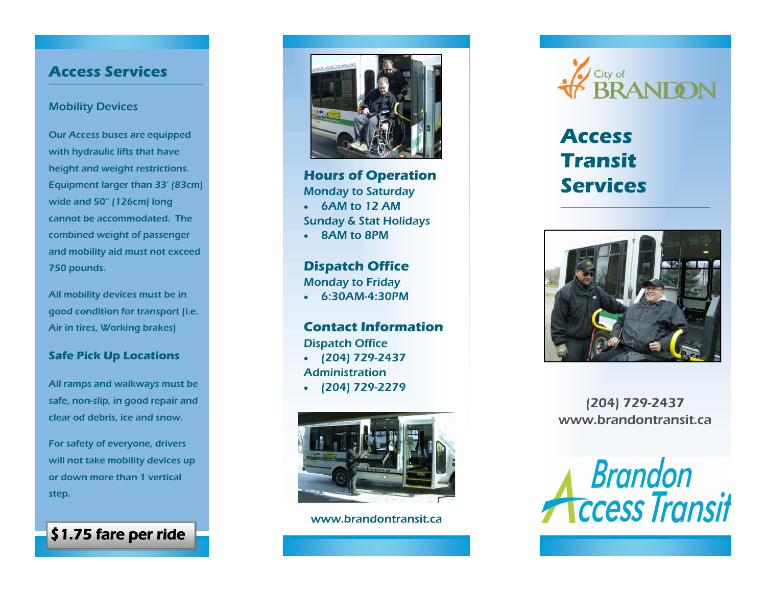## **Access Services**

#### Mobility Devices

Our Access buses are equipped with hydraulic lifts that have height and weight restrictions. Equipment larger than 33' (83cm) wide and 50" (126cm) long cannot be accommodated. The combined weight of passenger and mobility aid must not exceed 750 pounds.

All mobility devices must be in good condition for transport (i.e. Air in tires, Working brakes)

### **Safe Pick Up Locations**

All ramps and walkways must be safe, non-slip, in good repair and clear od debris, ice and snow.

For safety of everyone, drivers will not take mobility devices up or down more than 1 vertical step.

\$1.75 fare per ride



**Hours of Operation** Monday to Saturday 6AM to 12 AM Sunday & Stat Holidays 8AM to 8PM

**Dispatch Office** Monday to Friday 6:30AM-4:30PM

**Contact Information** Dispatch Office  $(204)$  729-2437 Administration  $(204)$  729-2279



www.brandontransit.ca



# **Access Transit Services**



(204) 729-2437 www.brandontransit.ca